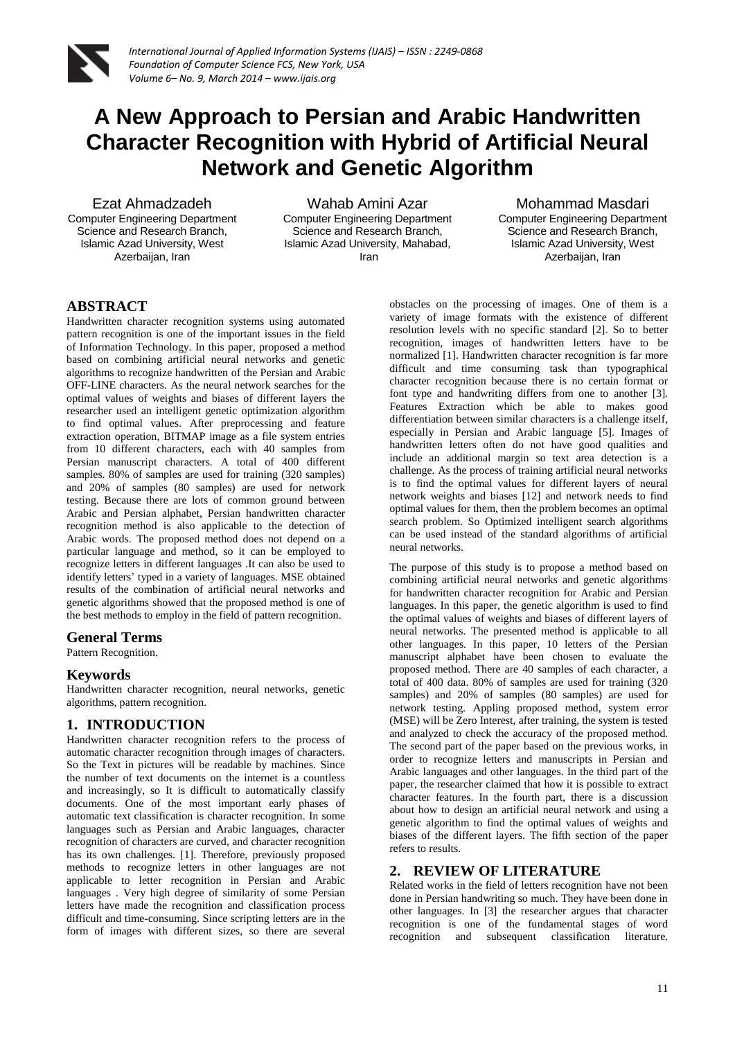

# **A New Approach to Persian and Arabic Handwritten Character Recognition with Hybrid of Artificial Neural Network and Genetic Algorithm**

Ezat Ahmadzadeh Computer Engineering Department Science and Research Branch, Islamic Azad University, West Azerbaijan, Iran

Wahab Amini Azar Computer Engineering Department Science and Research Branch, Islamic Azad University, Mahabad, Iran

Mohammad Masdari Computer Engineering Department Science and Research Branch, Islamic Azad University, West Azerbaijan, Iran

# **ABSTRACT**

Handwritten character recognition systems using automated pattern recognition is one of the important issues in the field of Information Technology. In this paper, proposed a method based on combining artificial neural networks and genetic algorithms to recognize handwritten of the Persian and Arabic OFF-LINE characters. As the neural network searches for the optimal values of weights and biases of different layers the researcher used an intelligent genetic optimization algorithm to find optimal values. After preprocessing and feature extraction operation, BITMAP image as a file system entries from 10 different characters, each with 40 samples from Persian manuscript characters. A total of 400 different samples. 80% of samples are used for training (320 samples) and 20% of samples (80 samples) are used for network testing. Because there are lots of common ground between Arabic and Persian alphabet, Persian handwritten character recognition method is also applicable to the detection of Arabic words. The proposed method does not depend on a particular language and method, so it can be employed to recognize letters in different languages .It can also be used to identify letters' typed in a variety of languages. MSE obtained results of the combination of artificial neural networks and genetic algorithms showed that the proposed method is one of the best methods to employ in the field of pattern recognition.

## **General Terms**

Pattern Recognition.

## **Keywords**

Handwritten character recognition, neural networks, genetic algorithms, pattern recognition.

# **1. INTRODUCTION**

Handwritten character recognition refers to the process of automatic character recognition through images of characters. So the Text in pictures will be readable by machines. Since the number of text documents on the internet is a countless and increasingly, so It is difficult to automatically classify documents. One of the most important early phases of automatic text classification is character recognition. In some languages such as Persian and Arabic languages, character recognition of characters are curved, and character recognition has its own challenges. [1]. Therefore, previously proposed methods to recognize letters in other languages are not applicable to letter recognition in Persian and Arabic languages . Very high degree of similarity of some Persian letters have made the recognition and classification process difficult and time-consuming. Since scripting letters are in the form of images with different sizes, so there are several

obstacles on the processing of images. One of them is a variety of image formats with the existence of different resolution levels with no specific standard [2]. So to better recognition, images of handwritten letters have to be normalized [1]. Handwritten character recognition is far more difficult and time consuming task than typographical character recognition because there is no certain format or font type and handwriting differs from one to another [3]. Features Extraction which be able to makes good differentiation between similar characters is a challenge itself, especially in Persian and Arabic language [5]. Images of handwritten letters often do not have good qualities and include an additional margin so text area detection is a challenge. As the process of training artificial neural networks is to find the optimal values for different layers of neural network weights and biases [12] and network needs to find optimal values for them, then the problem becomes an optimal search problem. So Optimized intelligent search algorithms can be used instead of the standard algorithms of artificial neural networks.

The purpose of this study is to propose a method based on combining artificial neural networks and genetic algorithms for handwritten character recognition for Arabic and Persian languages. In this paper, the genetic algorithm is used to find the optimal values of weights and biases of different layers of neural networks. The presented method is applicable to all other languages. In this paper, 10 letters of the Persian manuscript alphabet have been chosen to evaluate the proposed method. There are 40 samples of each character, a total of 400 data. 80% of samples are used for training (320 samples) and 20% of samples (80 samples) are used for network testing. Appling proposed method, system error (MSE) will be Zero Interest, after training, the system is tested and analyzed to check the accuracy of the proposed method. The second part of the paper based on the previous works, in order to recognize letters and manuscripts in Persian and Arabic languages and other languages. In the third part of the paper, the researcher claimed that how it is possible to extract character features. In the fourth part, there is a discussion about how to design an artificial neural network and using a genetic algorithm to find the optimal values of weights and biases of the different layers. The fifth section of the paper refers to results.

# **2. REVIEW OF LITERATURE**

Related works in the field of letters recognition have not been done in Persian handwriting so much. They have been done in other languages. In [3] the researcher argues that character recognition is one of the fundamental stages of word recognition and subsequent classification literature.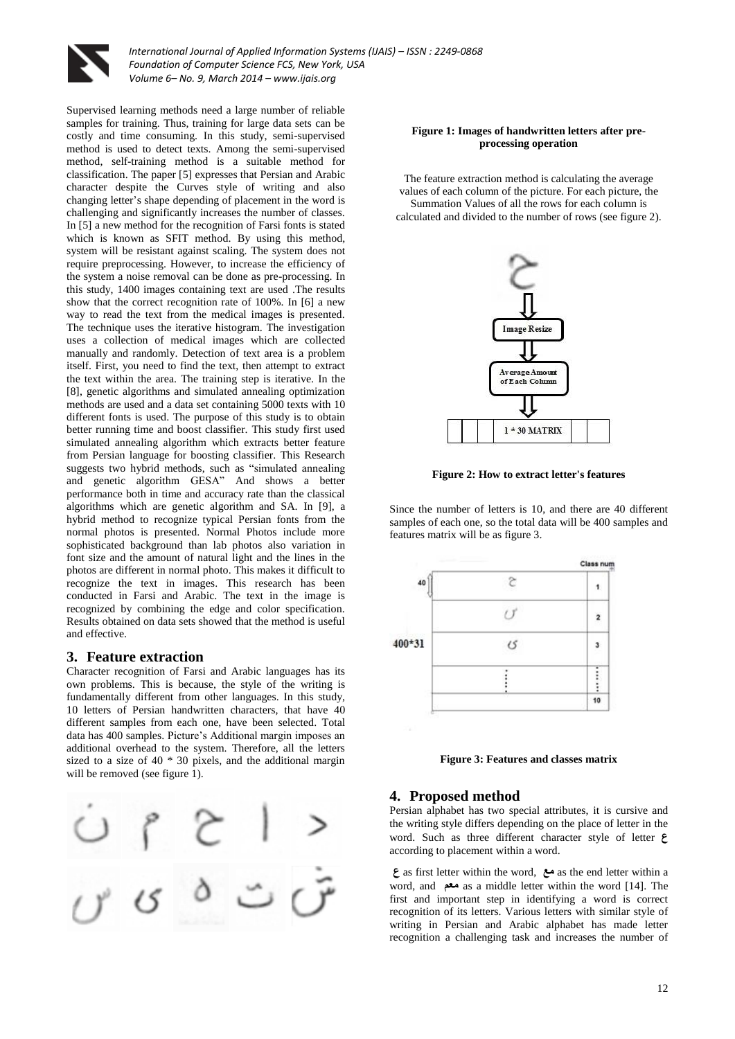

Supervised learning methods need a large number of reliable samples for training. Thus, training for large data sets can be costly and time consuming. In this study, semi-supervised method is used to detect texts. Among the semi-supervised method, self-training method is a suitable method for classification. The paper [5] expresses that Persian and Arabic character despite the Curves style of writing and also changing letter's shape depending of placement in the word is challenging and significantly increases the number of classes. In [5] a new method for the recognition of Farsi fonts is stated which is known as SFIT method. By using this method, system will be resistant against scaling. The system does not require preprocessing. However, to increase the efficiency of the system a noise removal can be done as pre-processing. In this study, 1400 images containing text are used .The results show that the correct recognition rate of 100%. In [6] a new way to read the text from the medical images is presented. The technique uses the iterative histogram. The investigation uses a collection of medical images which are collected manually and randomly. Detection of text area is a problem itself. First, you need to find the text, then attempt to extract the text within the area. The training step is iterative. In the [8], genetic algorithms and simulated annealing optimization methods are used and a data set containing 5000 texts with 10 different fonts is used. The purpose of this study is to obtain better running time and boost classifier. This study first used simulated annealing algorithm which extracts better feature from Persian language for boosting classifier. This Research suggests two hybrid methods, such as "simulated annealing and genetic algorithm GESA" And shows a better performance both in time and accuracy rate than the classical algorithms which are genetic algorithm and SA. In [9], a hybrid method to recognize typical Persian fonts from the normal photos is presented. Normal Photos include more sophisticated background than lab photos also variation in font size and the amount of natural light and the lines in the photos are different in normal photo. This makes it difficult to recognize the text in images. This research has been conducted in Farsi and Arabic. The text in the image is recognized by combining the edge and color specification. Results obtained on data sets showed that the method is useful and effective.

### **3. Feature extraction**

Character recognition of Farsi and Arabic languages has its own problems. This is because, the style of the writing is fundamentally different from other languages. In this study, 10 letters of Persian handwritten characters, that have 40 different samples from each one, have been selected. Total data has 400 samples. Picture's Additional margin imposes an additional overhead to the system. Therefore, all the letters sized to a size of 40 \* 30 pixels, and the additional margin will be removed (see figure 1).



#### **Figure 1: Images of handwritten letters after preprocessing operation**

The feature extraction method is calculating the average values of each column of the picture. For each picture, the Summation Values of all the rows for each column is calculated and divided to the number of rows (see figure 2).



**Figure 2: How to extract letter's features**

Since the number of letters is 10, and there are 40 different samples of each one, so the total data will be 400 samples and features matrix will be as figure 3.



**Figure 3: Features and classes matrix**

#### **4. Proposed method**

Persian alphabet has two special attributes, it is cursive and the writing style differs depending on the place of letter in the word. Such as three different character style of letter **ع** according to placement within a word.

**ع** as first letter within the word, **مع** as the end letter within a word, and **معم** as a middle letter within the word [14]. The first and important step in identifying a word is correct recognition of its letters. Various letters with similar style of writing in Persian and Arabic alphabet has made letter recognition a challenging task and increases the number of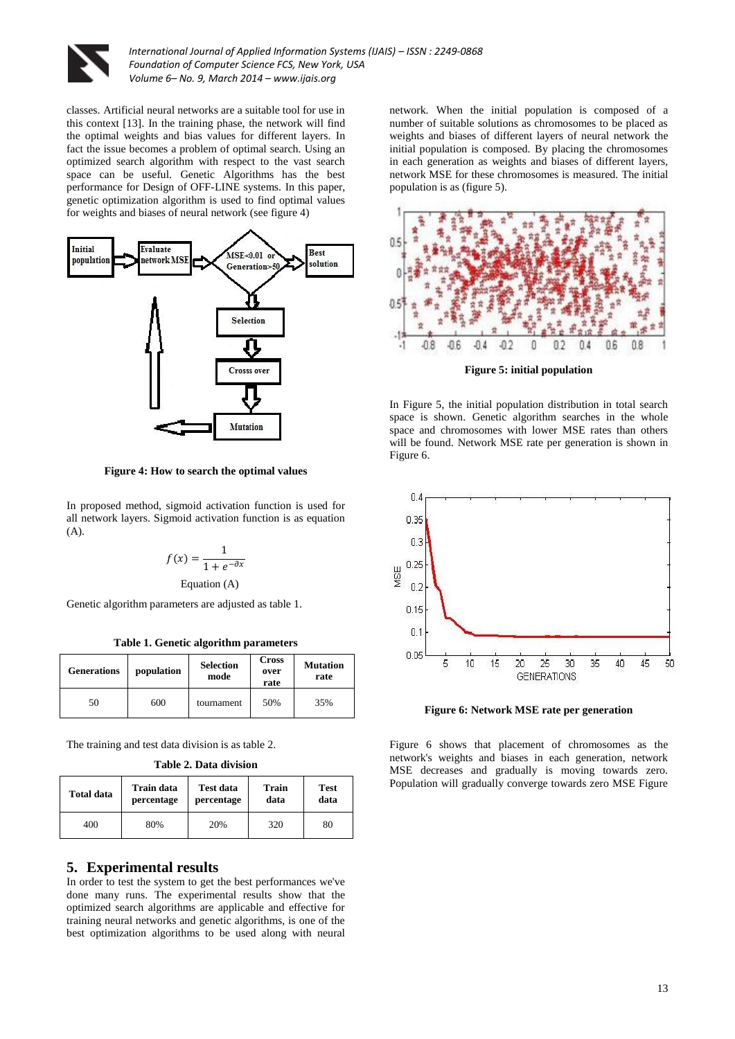

classes. Artificial neural networks are a suitable tool for use in this context [13]. In the training phase, the network will find the optimal weights and bias values for different layers. In fact the issue becomes a problem of optimal search. Using an optimized search algorithm with respect to the vast search space can be useful. Genetic Algorithms has the best performance for Design of OFF-LINE systems. In this paper, genetic optimization algorithm is used to find optimal values for weights and biases of neural network (see figure 4)



**Figure 4: How to search the optimal values**

In proposed method, sigmoid activation function is used for all network layers. Sigmoid activation function is as equation (A).

$$
f(x) = \frac{1}{1 + e^{-\partial x}}
$$

#### Equation (A)

Genetic algorithm parameters are adjusted as table 1.

**Table 1. Genetic algorithm parameters**

| <b>Generations</b> | population | <b>Selection</b><br>mode | <b>Cross</b><br>over<br>rate | <b>Mutation</b><br>rate |
|--------------------|------------|--------------------------|------------------------------|-------------------------|
| 50                 | 600        | tournament               | 50%                          | 35%                     |

The training and test data division is as table 2.

**Table 2. Data division**

| Total data | Train data | <b>Test data</b> | Train | Test |
|------------|------------|------------------|-------|------|
|            | percentage | percentage       | data  | data |
| 400        | 80%        | 20%              | 320   | 80   |

#### **5. Experimental results**

In order to test the system to get the best performances we've done many runs. The experimental results show that the optimized search algorithms are applicable and effective for training neural networks and genetic algorithms, is one of the best optimization algorithms to be used along with neural

network. When the initial population is composed of a number of suitable solutions as chromosomes to be placed as weights and biases of different layers of neural network the initial population is composed. By placing the chromosomes in each generation as weights and biases of different layers, network MSE for these chromosomes is measured. The initial population is as (figure 5).



**Figure 5: initial population**

In Figure 5, the initial population distribution in total search space is shown. Genetic algorithm searches in the whole space and chromosomes with lower MSE rates than others will be found. Network MSE rate per generation is shown in Figure 6.



**Figure 6: Network MSE rate per generation**

Figure 6 shows that placement of chromosomes as the network's weights and biases in each generation, network MSE decreases and gradually is moving towards zero. Population will gradually converge towards zero MSE Figure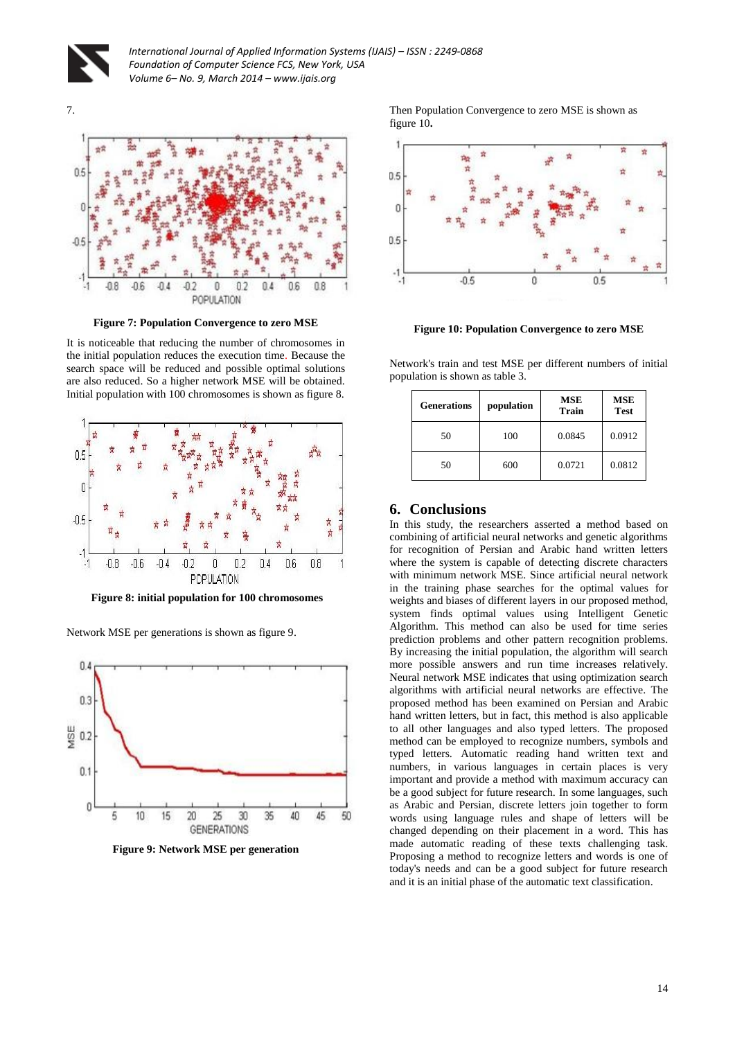

7.



**Figure 7: Population Convergence to zero MSE**

It is noticeable that reducing the number of chromosomes in the initial population reduces the execution time. Because the search space will be reduced and possible optimal solutions are also reduced. So a higher network MSE will be obtained. Initial population with 100 chromosomes is shown as figure 8.



**Figure 8: initial population for 100 chromosomes**

Network MSE per generations is shown as figure 9.



**Figure 9: Network MSE per generation**

Then Population Convergence to zero MSE is shown as figure 10**.** 



**Figure 10: Population Convergence to zero MSE**

Network's train and test MSE per different numbers of initial population is shown as table 3.

| <b>Generations</b> | population | <b>MSE</b><br>Train | <b>MSE</b><br><b>Test</b> |
|--------------------|------------|---------------------|---------------------------|
| 50                 | 100        | 0.0845              | 0.0912                    |
| 50                 | 600        | 0.0721              | 0.0812                    |

## **6. Conclusions**

In this study, the researchers asserted a method based on combining of artificial neural networks and genetic algorithms for recognition of Persian and Arabic hand written letters where the system is capable of detecting discrete characters with minimum network MSE. Since artificial neural network in the training phase searches for the optimal values for weights and biases of different layers in our proposed method, system finds optimal values using Intelligent Genetic Algorithm. This method can also be used for time series prediction problems and other pattern recognition problems. By increasing the initial population, the algorithm will search more possible answers and run time increases relatively. Neural network MSE indicates that using optimization search algorithms with artificial neural networks are effective. The proposed method has been examined on Persian and Arabic hand written letters, but in fact, this method is also applicable to all other languages and also typed letters. The proposed method can be employed to recognize numbers, symbols and typed letters. Automatic reading hand written text and numbers, in various languages in certain places is very important and provide a method with maximum accuracy can be a good subject for future research. In some languages, such as Arabic and Persian, discrete letters join together to form words using language rules and shape of letters will be changed depending on their placement in a word. This has made automatic reading of these texts challenging task. Proposing a method to recognize letters and words is one of today's needs and can be a good subject for future research and it is an initial phase of the automatic text classification.